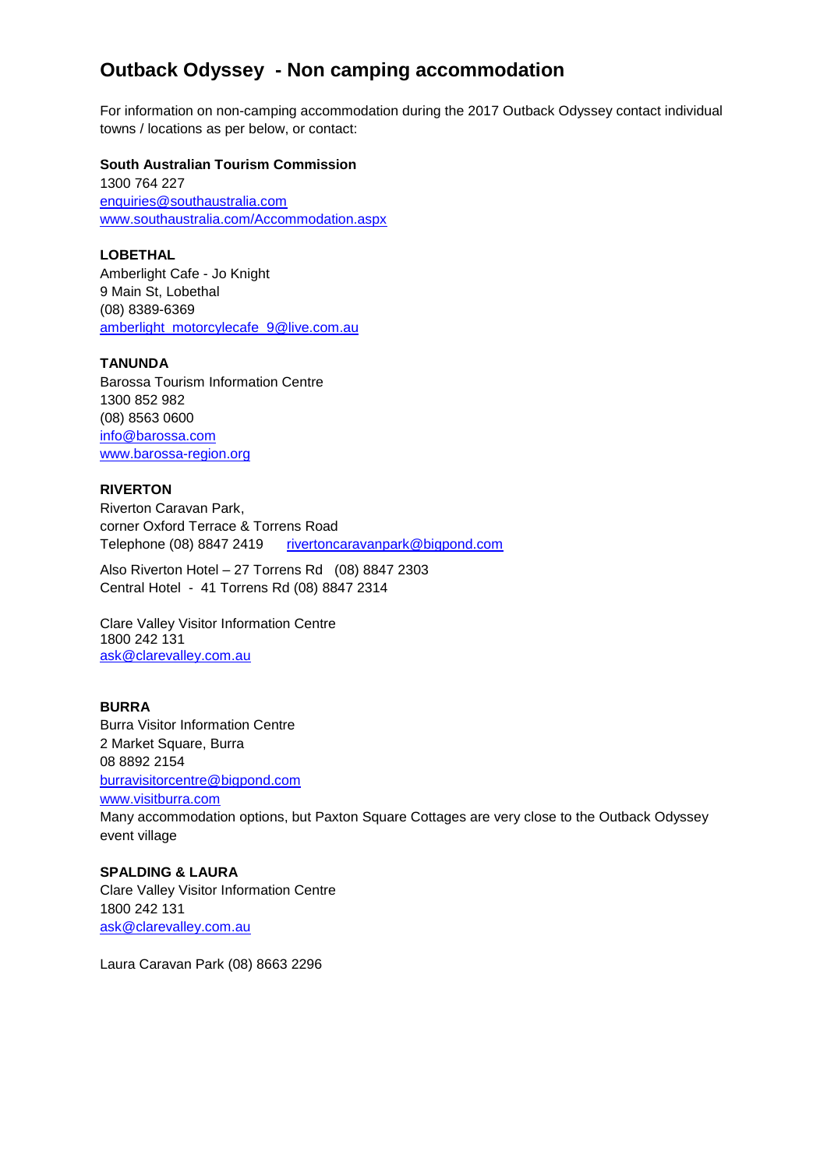# **Outback Odyssey - Non camping accommodation**

For information on non-camping accommodation during the 2017 Outback Odyssey contact individual towns / locations as per below, or contact:

#### **South Australian Tourism Commission**

1300 764 227 [enquiries@southaustralia.com](mailto:enquiries@southaustralia.com) [www.southaustralia.com/Accommodation.aspx](http://www.southaustralia.com/Accommodation.aspx)

## **LOBETHAL**

Amberlight Cafe - Jo Knight 9 Main St, Lobethal (08) 8389-6369 [amberlight\\_motorcylecafe\\_9@live.com.au](mailto:amberlight_motorcylecafe_9@live.com.au)

#### **TANUNDA**

Barossa Tourism Information Centre 1300 852 982 (08) 8563 0600 [info@barossa.com](mailto:info@barossa.com) [www.barossa-region.org](http://www.barossa-region.org/)

# **RIVERTON**

Riverton Caravan Park, corner Oxford Terrace & Torrens Road Telephone (08) 8847 2419 [rivertoncaravanpark@bigpond.com](mailto:rivertoncaravanpark@bigpond.com)

Also Riverton Hotel – 27 Torrens Rd (08) 8847 2303 Central Hotel - 41 Torrens Rd (08) 8847 2314

Clare Valley Visitor Information Centre 1800 242 131 [ask@clarevalley.com.au](mailto:ask@clarevalley.com.au)

### **BURRA**

Burra Visitor Information Centre 2 Market Square, Burra 08 8892 2154 [burravisitorcentre@bigpond.com](mailto:burravisitorcentre@bigpond.com) [www.visitburra.com](http://www.visitburra.com/) Many accommodation options, but Paxton Square Cottages are very close to the Outback Odyssey event village

#### **SPALDING & LAURA**

Clare Valley Visitor Information Centre 1800 242 131 [ask@clarevalley.com.au](mailto:ask@clarevalley.com.au)

Laura Caravan Park (08) 8663 2296